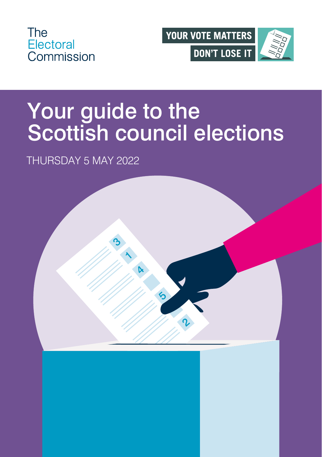



# Your guide to the Scottish council elections

#### THURSDAY 5 MAY 2022

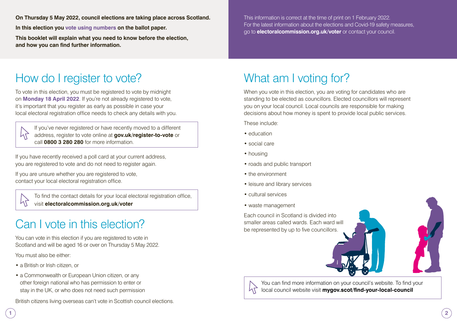**On Thursday 5 May 2022, council elections are taking place across Scotland.** 

**In this election you vote using numbers on the ballot paper.** 

**This booklet will explain what you need to know before the election, and how you can find further information.**

This information is correct at the time of print on 1 February 2022. For the latest information about the elections and Covid-19 safety measures, go to **[electoralcommission.org.uk/voter](https://www.electoralcommission.org.uk/i-am-a/voter)** or contact your council.

## How do I register to vote?

To vote in this election, you must be registered to vote by midnight on **Monday 18 April 2022**. If you're not already registered to vote, it's important that you register as early as possible in case your local electoral registration office needs to check any details with you.

 If you've never registered or have recently moved to a different address, register to vote online at **[gov.uk/register-to-vote](http://gov.uk/register-to-vote)** or call **0800 3 280 280** for more information.

If you have recently received a poll card at your current address, you are registered to vote and do not need to register again.

If you are unsure whether you are registered to vote, contact your local electoral registration office.

> [To find the contact details for your local electoral registration office,](http://electoralcommission.org.uk/voter)  visit **electoralcommission.org.uk/voter**

## Can I vote in this election?

You can vote in this election if you are registered to vote in Scotland and will be aged 16 or over on Thursday 5 May 2022.

You must also be either:

- a British or Irish citizen, or
- a Commonwealth or European Union citizen, or any other foreign national who has permission to enter or stay in the UK, or who does not need such permission

British citizens living overseas can't vote in Scottish council elections.

## What am I voting for?

When you vote in this election, you are voting for candidates who are standing to be elected as councillors. Elected councillors will represent you on your local council. Local councils are responsible for making decisions about how money is spent to provide local public services.

These include:

- education
- social care
- housing
- roads and public transport
- the environment
- leisure and library services
- cultural services
- waste management

Each council in Scotland is divided into smaller areas called wards. Each ward will be represented by up to five councillors.



[You can find more information on your council's website. To find your](https://www.mygov.scot/find-your-local-council)  local council website visit **mygov.scot/find-your-local-council**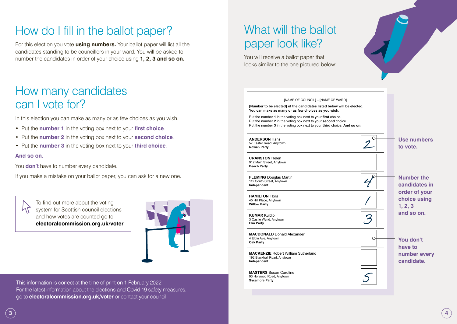#### How do I fill in the ballot paper?

For this election you vote **using numbers.** Your ballot paper will list all the candidates standing to be councillors in your ward. You will be asked to number the candidates in order of your choice using **1, 2, 3 and so on.**

#### How many candidates can I vote for?

In this election you can make as many or as few choices as you wish.

- Put the **number 1** in the voting box next to your **first choice**.
- Put the **number 2** in the voting box next to your **second choice**.
- Put the **number 3** in the voting box next to your **third choice**.

#### **And so on.**

You **don't** have to number every candidate.

If you make a mistake on your ballot paper, you can ask for a new one.

To find out more about the voting  $h$ system for Scottish council elections and how votes are counted go to **[electoralcommission.org.uk/voter](http://electoralcommission.org.uk/voter)**



This information is correct at the time of print on 1 February 2022. For the latest information about the elections and Covid-19 safety measures, go to **[electoralcommission.org.uk/voter](http://electoralcommission.org.uk/voter)** or contact your council.

### What will the ballot paper look like?

You will receive a ballot paper that looks similar to the one pictured below:

**Elm Party**

**Oak Party**

**Sycamore Party** 

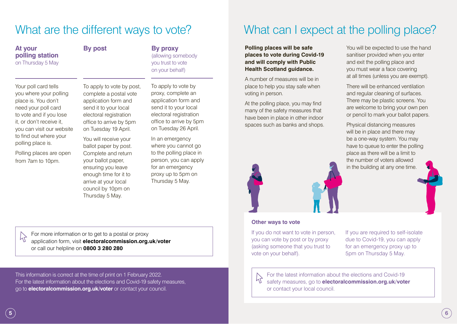| Thursday 5 May.                                                                                                                                   |  |
|---------------------------------------------------------------------------------------------------------------------------------------------------|--|
|                                                                                                                                                   |  |
| For more information or to get to a postal or proxy<br>application form, visit electoralcommission.org.<br>or call our helpline on 0800 3 280 280 |  |

#### What are the different ways to vote?

**At your polling station** on Thursday 5 May

Your poll card tells you where your polling place is. You don't need your poll card to vote and if you lose it, or don't receive it, you can visit our website to find out where your polling place is.

Polling places are open from 7am to 10pm.

**By post By proxy** (allowing somebody you trust to vote on your behalf)

To apply to vote by post, complete a postal vote application form and send it to your local electoral registration office to arrive by 5pm on Tuesday 19 April. To apply to vote by

You will receive your ballot paper by post. Complete and return your ballot paper, ensuring you leave enough time for it to arrive at your local

proxy, complete an application form and send it to your local electoral registration office to arrive by 5pm on Tuesday 26 April.

In an emergency where you cannot go to the polling place in person, you can apply for an emergency proxy up to 5pm on Thursday 5 May.

application form, and the entitled

This information is correct at the time of print on 1 February 2022. For the latest information about the elections and Covid-19 safety measures, go to **[electoralcommission.org.uk/voter](http://electoralcommission.org.uk/voter)** or contact your council.

## What can I expect at the polling place?

#### **Polling places will be safe places to vote during Covid-19 and will comply with Public Health Scotland guidance.**

A number of measures will be in place to help you stay safe when voting in person.

At the polling place, you may find many of the safety measures that have been in place in other indoor spaces such as banks and shops.



#### **Other ways to vote**

If you do not want to vote in person, you can vote by post or by proxy (asking someone that you trust to vote on your behalf).

If you are required to self-isolate due to Covid-19, you can apply for an emergency proxy up to 5pm on Thursday 5 May.

[For the latest information about the elections and Covid-19](http://electoralcommission.org.uk/voter)  safety measures, go to **electoralcommission.org.uk/voter** or contact your local council.

You will be expected to use the hand sanitiser provided when you enter and exit the polling place and you must wear a face covering at all times (unless you are exempt).

There will be enhanced ventilation and regular cleaning of surfaces. There may be plastic screens. You are welcome to bring your own pen or pencil to mark your ballot papers.

Physical distancing measures will be in place and there may be a one-way system. You may have to queue to enter the polling place as there will be a limit to the number of voters allowed in the building at any one time.